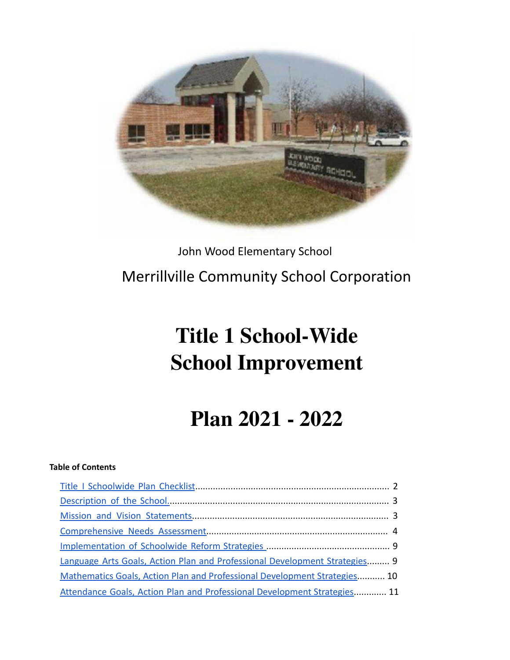

## John Wood Elementary School Merrillville Community School Corporation

# **Title 1 School-Wide School Improvement**

## **Plan 2021 - 2022**

#### **Table of Contents**

| Language Arts Goals, Action Plan and Professional Development Strategies 9 |
|----------------------------------------------------------------------------|
| Mathematics Goals, Action Plan and Professional Development Strategies 10  |
| Attendance Goals, Action Plan and Professional Development Strategies 11   |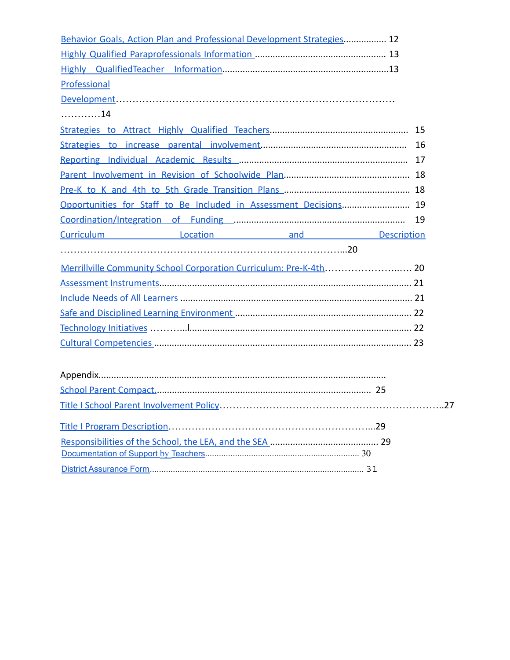| Behavior Goals, Action Plan and Professional Development Strategies 12           |    |
|----------------------------------------------------------------------------------|----|
|                                                                                  |    |
|                                                                                  |    |
| Professional                                                                     |    |
|                                                                                  |    |
| 14                                                                               |    |
|                                                                                  |    |
|                                                                                  |    |
|                                                                                  |    |
|                                                                                  |    |
|                                                                                  |    |
| Opportunities for Staff to Be Included in Assessment Decisions 19                |    |
|                                                                                  |    |
| Curriculum <b>Curriculum</b> Location <b>Curriculum Curriculum Curriculum CU</b> |    |
|                                                                                  |    |
| Merrillville Community School Corporation Curriculum: Pre-K-4th 20               |    |
|                                                                                  |    |
|                                                                                  |    |
|                                                                                  |    |
|                                                                                  |    |
|                                                                                  |    |
|                                                                                  |    |
|                                                                                  |    |
|                                                                                  |    |
|                                                                                  | 27 |
|                                                                                  |    |
|                                                                                  |    |
|                                                                                  |    |
|                                                                                  |    |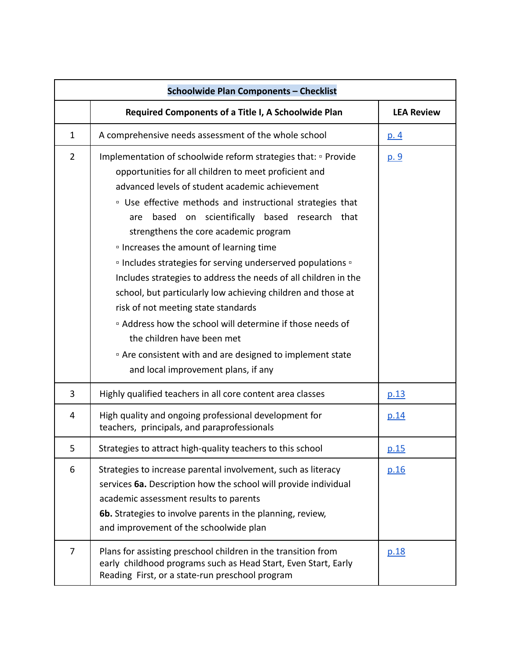|                | <b>Schoolwide Plan Components - Checklist</b>                                                                                                                                                                                                                                                                                                                                                                                                                                                                                                                                                                                                                                                                                                                                                                                                                                          |                   |  |  |  |
|----------------|----------------------------------------------------------------------------------------------------------------------------------------------------------------------------------------------------------------------------------------------------------------------------------------------------------------------------------------------------------------------------------------------------------------------------------------------------------------------------------------------------------------------------------------------------------------------------------------------------------------------------------------------------------------------------------------------------------------------------------------------------------------------------------------------------------------------------------------------------------------------------------------|-------------------|--|--|--|
|                | Required Components of a Title I, A Schoolwide Plan                                                                                                                                                                                                                                                                                                                                                                                                                                                                                                                                                                                                                                                                                                                                                                                                                                    | <b>LEA Review</b> |  |  |  |
| $\mathbf{1}$   | A comprehensive needs assessment of the whole school                                                                                                                                                                                                                                                                                                                                                                                                                                                                                                                                                                                                                                                                                                                                                                                                                                   | <u>p. 4</u>       |  |  |  |
| $\overline{2}$ | Implementation of schoolwide reform strategies that: <i>Derovide</i><br>opportunities for all children to meet proficient and<br>advanced levels of student academic achievement<br><sup>o</sup> Use effective methods and instructional strategies that<br>based on scientifically based research that<br>are<br>strengthens the core academic program<br><sup>o</sup> Increases the amount of learning time<br><sup>o</sup> Includes strategies for serving underserved populations <sup>o</sup><br>Includes strategies to address the needs of all children in the<br>school, but particularly low achieving children and those at<br>risk of not meeting state standards<br><sup>□</sup> Address how the school will determine if those needs of<br>the children have been met<br>" Are consistent with and are designed to implement state<br>and local improvement plans, if any | <u>p. 9</u>       |  |  |  |
| 3              | Highly qualified teachers in all core content area classes                                                                                                                                                                                                                                                                                                                                                                                                                                                                                                                                                                                                                                                                                                                                                                                                                             | p.13              |  |  |  |
| 4              | High quality and ongoing professional development for<br>teachers, principals, and paraprofessionals                                                                                                                                                                                                                                                                                                                                                                                                                                                                                                                                                                                                                                                                                                                                                                                   | p.14              |  |  |  |
| 5              | Strategies to attract high-quality teachers to this school                                                                                                                                                                                                                                                                                                                                                                                                                                                                                                                                                                                                                                                                                                                                                                                                                             | p.15              |  |  |  |
| 6              | Strategies to increase parental involvement, such as literacy<br>services 6a. Description how the school will provide individual<br>academic assessment results to parents<br>6b. Strategies to involve parents in the planning, review,<br>and improvement of the schoolwide plan                                                                                                                                                                                                                                                                                                                                                                                                                                                                                                                                                                                                     | p.16              |  |  |  |
| 7              | Plans for assisting preschool children in the transition from<br>early childhood programs such as Head Start, Even Start, Early<br>Reading First, or a state-run preschool program                                                                                                                                                                                                                                                                                                                                                                                                                                                                                                                                                                                                                                                                                                     | p.18              |  |  |  |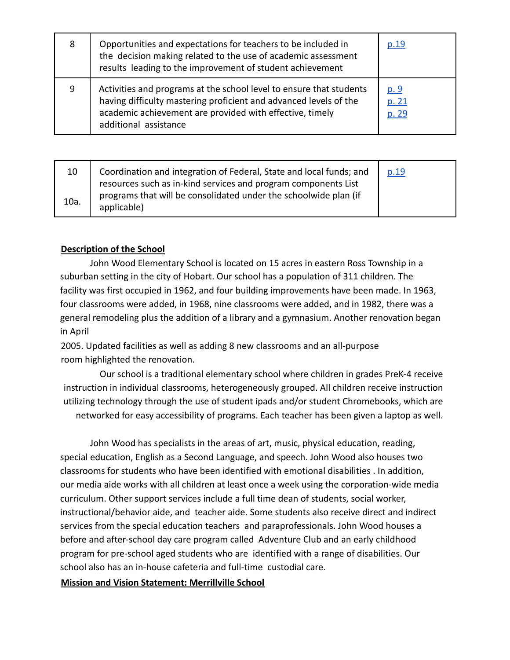| 8 | Opportunities and expectations for teachers to be included in<br>the decision making related to the use of academic assessment<br>results leading to the improvement of student achievement                                   | p.19                          |
|---|-------------------------------------------------------------------------------------------------------------------------------------------------------------------------------------------------------------------------------|-------------------------------|
| 9 | Activities and programs at the school level to ensure that students<br>having difficulty mastering proficient and advanced levels of the<br>academic achievement are provided with effective, timely<br>additional assistance | <u>p. 9</u><br>p. 21<br>p. 29 |

| 10   | Coordination and integration of Federal, State and local funds; and<br>resources such as in-kind services and program components List | p.19 |
|------|---------------------------------------------------------------------------------------------------------------------------------------|------|
| 10a. | programs that will be consolidated under the schoolwide plan (if<br>applicable)                                                       |      |

#### **Description of the School**

John Wood Elementary School is located on 15 acres in eastern Ross Township in a suburban setting in the city of Hobart. Our school has a population of 311 children. The facility was first occupied in 1962, and four building improvements have been made. In 1963, four classrooms were added, in 1968, nine classrooms were added, and in 1982, there was a general remodeling plus the addition of a library and a gymnasium. Another renovation began in April

2005. Updated facilities as well as adding 8 new classrooms and an all-purpose room highlighted the renovation.

Our school is a traditional elementary school where children in grades PreK-4 receive instruction in individual classrooms, heterogeneously grouped. All children receive instruction utilizing technology through the use of student ipads and/or student Chromebooks, which are networked for easy accessibility of programs. Each teacher has been given a laptop as well.

John Wood has specialists in the areas of art, music, physical education, reading, special education, English as a Second Language, and speech. John Wood also houses two classrooms for students who have been identified with emotional disabilities . In addition, our media aide works with all children at least once a week using the corporation-wide media curriculum. Other support services include a full time dean of students, social worker, instructional/behavior aide, and teacher aide. Some students also receive direct and indirect services from the special education teachers and paraprofessionals. John Wood houses a before and after-school day care program called Adventure Club and an early childhood program for pre-school aged students who are identified with a range of disabilities. Our school also has an in-house cafeteria and full-time custodial care.

#### **Mission and Vision Statement: Merrillville School**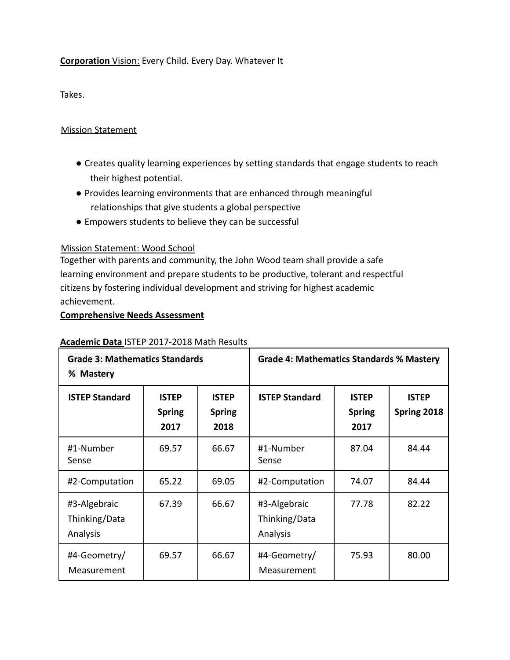#### **Corporation** Vision: Every Child. Every Day. Whatever It

Takes.

#### Mission Statement

- Creates quality learning experiences by setting standards that engage students to reach their highest potential.
- Provides learning environments that are enhanced through meaningful relationships that give students a global perspective
- Empowers students to believe they can be successful

#### Mission Statement: Wood School

Together with parents and community, the John Wood team shall provide a safe learning environment and prepare students to be productive, tolerant and respectful citizens by fostering individual development and striving for highest academic achievement.

#### **Comprehensive Needs Assessment**

#### **Academic Data** ISTEP 2017-2018 Math Results

| <b>Grade 3: Mathematics Standards</b><br>% Mastery |                                       |                                       | <b>Grade 4: Mathematics Standards % Mastery</b> |                                       |                             |
|----------------------------------------------------|---------------------------------------|---------------------------------------|-------------------------------------------------|---------------------------------------|-----------------------------|
| <b>ISTEP Standard</b>                              | <b>ISTEP</b><br><b>Spring</b><br>2017 | <b>ISTEP</b><br><b>Spring</b><br>2018 | <b>ISTEP Standard</b>                           | <b>ISTEP</b><br><b>Spring</b><br>2017 | <b>ISTEP</b><br>Spring 2018 |
| #1-Number<br>Sense                                 | 69.57                                 | 66.67                                 | #1-Number<br>Sense                              | 87.04                                 | 84.44                       |
| #2-Computation                                     | 65.22                                 | 69.05                                 | #2-Computation                                  | 74.07                                 | 84.44                       |
| #3-Algebraic<br>Thinking/Data<br>Analysis          | 67.39                                 | 66.67                                 | #3-Algebraic<br>Thinking/Data<br>Analysis       | 77.78                                 | 82.22                       |
| #4-Geometry/<br>Measurement                        | 69.57                                 | 66.67                                 | #4-Geometry/<br>Measurement                     | 75.93                                 | 80.00                       |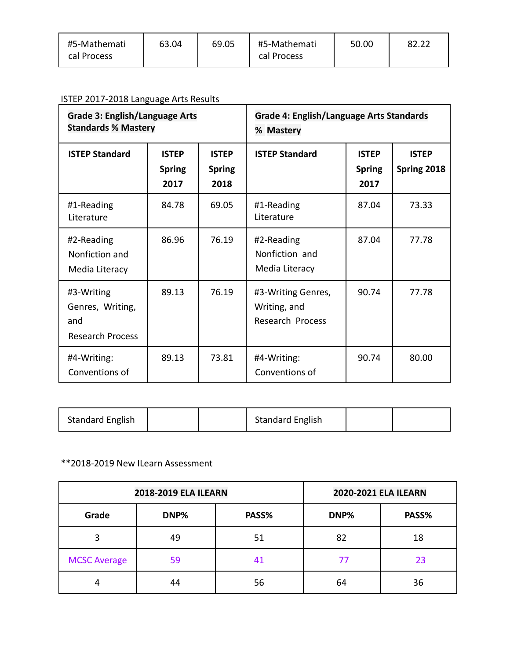| #5-Mathemati<br>cal Process | 63.04 | 69.05 | #5-Mathemati<br>cal Process | 50.00 |  |
|-----------------------------|-------|-------|-----------------------------|-------|--|
|                             |       |       |                             |       |  |

#### ISTEP 2017-2018 Language Arts Results

| <b>Grade 3: English/Language Arts</b><br><b>Standards % Mastery</b> |                                       |                                       | <b>Grade 4: English/Language Arts Standards</b><br>% Mastery |                                       |                             |
|---------------------------------------------------------------------|---------------------------------------|---------------------------------------|--------------------------------------------------------------|---------------------------------------|-----------------------------|
| <b>ISTEP Standard</b>                                               | <b>ISTEP</b><br><b>Spring</b><br>2017 | <b>ISTEP</b><br><b>Spring</b><br>2018 | <b>ISTEP Standard</b>                                        | <b>ISTEP</b><br><b>Spring</b><br>2017 | <b>ISTEP</b><br>Spring 2018 |
| #1-Reading<br>Literature                                            | 84.78                                 | 69.05                                 | #1-Reading<br>Literature                                     | 87.04                                 | 73.33                       |
| #2-Reading<br>Nonfiction and<br>Media Literacy                      | 86.96                                 | 76.19                                 | #2-Reading<br>Nonfiction and<br>Media Literacy               | 87.04                                 | 77.78                       |
| #3-Writing<br>Genres, Writing,<br>and<br><b>Research Process</b>    | 89.13                                 | 76.19                                 | #3-Writing Genres,<br>Writing, and<br>Research Process       | 90.74                                 | 77.78                       |
| #4-Writing:<br>Conventions of                                       | 89.13                                 | 73.81                                 | #4-Writing:<br>Conventions of                                | 90.74                                 | 80.00                       |

| <b>Standard English</b> |  |  | <b>Standard English</b> |  |  |
|-------------------------|--|--|-------------------------|--|--|
|-------------------------|--|--|-------------------------|--|--|

#### \*\*2018-2019 New ILearn Assessment

|                     | <b>2018-2019 ELA ILEARN</b> | 2020-2021 ELA ILEARN |      |       |
|---------------------|-----------------------------|----------------------|------|-------|
| Grade               | DNP%                        | PASS%                | DNP% | PASS% |
| 3                   | 49                          | 51                   | 82   | 18    |
| <b>MCSC Average</b> | 59                          |                      | 77   | 23    |
|                     | 44                          | 56                   | 64   | 36    |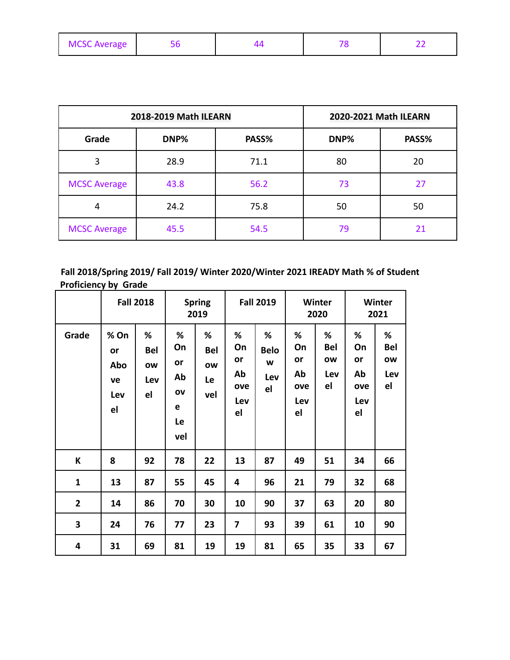| <b>MCSC Average</b> |  |  |  |  |
|---------------------|--|--|--|--|
|---------------------|--|--|--|--|

|                     | 2018-2019 Math ILEARN |       | 2020-2021 Math ILEARN |       |
|---------------------|-----------------------|-------|-----------------------|-------|
| Grade               | DNP%                  | PASS% | DNP%                  | PASS% |
| 3                   | 28.9                  | 71.1  | 80                    | 20    |
| <b>MCSC Average</b> | 43.8                  | 56.2  | 73                    | 27    |
| 4                   | 24.2                  | 75.8  | 50                    | 50    |
| <b>MCSC Average</b> | 45.5                  | 54.5  | 79                    | 21    |

#### **Fall 2018/Spring 2019/ Fall 2019/ Winter 2020/Winter 2021 IREADY Math % of Student Proficiency by Grade**  $\overline{1}$  , and the contract of the contract of the contract of the contract of the contract of the contract of the contract of the contract of the contract of the contract of the contract of the contract of the contract o

|                         |                                      | <b>Fall 2018</b>                   |                                             | <b>Spring</b><br>2019              |                                         | <b>Fall 2019</b>                   |                                         | Winter<br>2020                            |                                         | Winter<br>2021                     |
|-------------------------|--------------------------------------|------------------------------------|---------------------------------------------|------------------------------------|-----------------------------------------|------------------------------------|-----------------------------------------|-------------------------------------------|-----------------------------------------|------------------------------------|
| Grade                   | % On<br>or<br>Abo<br>ve<br>Lev<br>el | ℅<br><b>Bel</b><br>ow<br>Lev<br>el | %<br>On<br>or<br>Ab<br>OV<br>e<br>Le<br>vel | %<br><b>Bel</b><br>ow<br>Le<br>vel | %<br>On<br>or<br>Ab<br>ove<br>Lev<br>el | %<br><b>Belo</b><br>W<br>Lev<br>el | ℅<br>On<br>or<br>Ab<br>ove<br>Lev<br>el | %<br><b>Bel</b><br><b>OW</b><br>Lev<br>el | %<br>On<br>or<br>Ab<br>ove<br>Lev<br>el | %<br><b>Bel</b><br>ow<br>Lev<br>el |
| К                       | 8                                    | 92                                 | 78                                          | 22                                 | 13                                      | 87                                 | 49                                      | 51                                        | 34                                      | 66                                 |
| $\mathbf{1}$            | 13                                   | 87                                 | 55                                          | 45                                 | 4                                       | 96                                 | 21                                      | 79                                        | 32                                      | 68                                 |
| $\overline{\mathbf{2}}$ | 14                                   | 86                                 | 70                                          | 30                                 | 10                                      | 90                                 | 37                                      | 63                                        | 20                                      | 80                                 |
| 3                       | 24                                   | 76                                 | 77                                          | 23                                 | $\overline{\mathbf{z}}$                 | 93                                 | 39                                      | 61                                        | 10                                      | 90                                 |
| 4                       | 31                                   | 69                                 | 81                                          | 19                                 | 19                                      | 81                                 | 65                                      | 35                                        | 33                                      | 67                                 |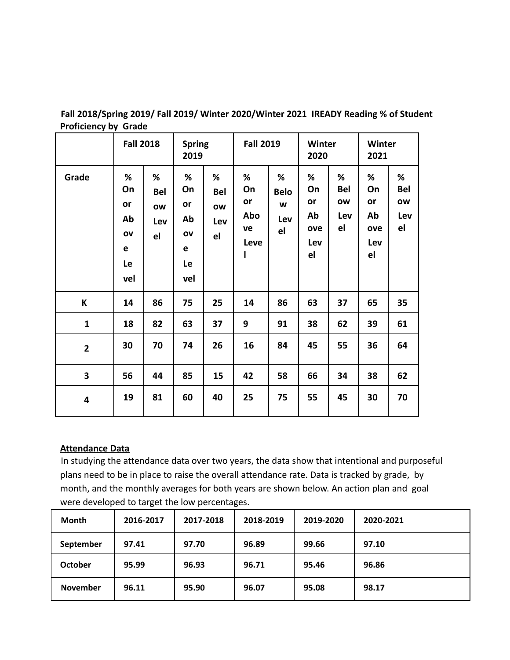|                         | <b>Fall 2018</b>                            |                                    | <b>Spring</b><br>2019                          |                                    | <b>Fall 2019</b>                        |                                       | Winter<br>2020                          |                                    | <b>Winter</b><br>2021                   |                                    |
|-------------------------|---------------------------------------------|------------------------------------|------------------------------------------------|------------------------------------|-----------------------------------------|---------------------------------------|-----------------------------------------|------------------------------------|-----------------------------------------|------------------------------------|
| Grade                   | %<br>On<br>or<br>Ab<br>ov<br>e<br>Le<br>vel | %<br><b>Bel</b><br>ow<br>Lev<br>el | $\%$<br>On<br>or<br>Ab<br>OV<br>e<br>Le<br>vel | %<br><b>Bel</b><br>ow<br>Lev<br>el | %<br>On<br>or<br>Abo<br>ve<br>Leve<br>ı | $\%$<br><b>Belo</b><br>W<br>Lev<br>el | %<br>On<br>or<br>Ab<br>ove<br>Lev<br>el | %<br><b>Bel</b><br>ow<br>Lev<br>el | %<br>On<br>or<br>Ab<br>ove<br>Lev<br>el | %<br><b>Bel</b><br>ow<br>Lev<br>el |
| К                       | 14                                          | 86                                 | 75                                             | 25                                 | 14                                      | 86                                    | 63                                      | 37                                 | 65                                      | 35                                 |
| $\mathbf{1}$            | 18                                          | 82                                 | 63                                             | 37                                 | 9                                       | 91                                    | 38                                      | 62                                 | 39                                      | 61                                 |
| $\overline{\mathbf{2}}$ | 30                                          | 70                                 | 74                                             | 26                                 | 16                                      | 84                                    | 45                                      | 55                                 | 36                                      | 64                                 |
| 3                       | 56                                          | 44                                 | 85                                             | 15                                 | 42                                      | 58                                    | 66                                      | 34                                 | 38                                      | 62                                 |
| 4                       | 19                                          | 81                                 | 60                                             | 40                                 | 25                                      | 75                                    | 55                                      | 45                                 | 30                                      | 70                                 |

**Fall 2018/Spring 2019/ Fall 2019/ Winter 2020/Winter 2021 IREADY Reading % of Student Proficiency by Grade**

#### **Attendance Data**

In studying the attendance data over two years, the data show that intentional and purposeful plans need to be in place to raise the overall attendance rate. Data is tracked by grade, by month, and the monthly averages for both years are shown below. An action plan and goal were developed to target the low percentages.

| Month           | 2016-2017 | 2017-2018 | 2018-2019 | 2019-2020 | 2020-2021 |
|-----------------|-----------|-----------|-----------|-----------|-----------|
| September       | 97.41     | 97.70     | 96.89     | 99.66     | 97.10     |
| <b>October</b>  | 95.99     | 96.93     | 96.71     | 95.46     | 96.86     |
| <b>November</b> | 96.11     | 95.90     | 96.07     | 95.08     | 98.17     |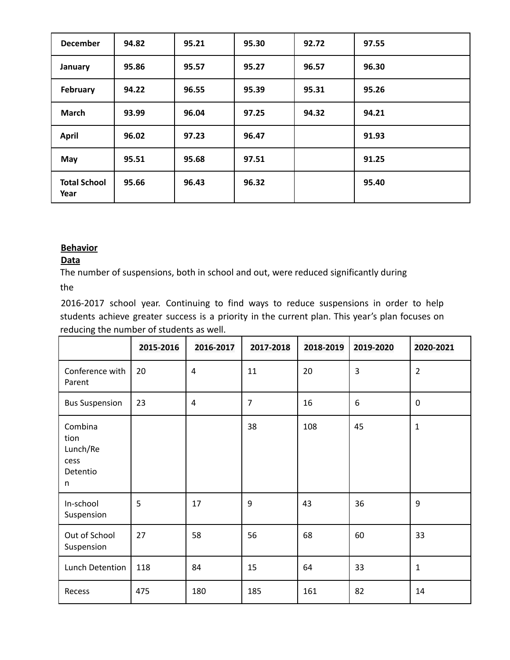| <b>December</b>             | 94.82 | 95.21 | 95.30 | 92.72 | 97.55 |
|-----------------------------|-------|-------|-------|-------|-------|
| January                     | 95.86 | 95.57 | 95.27 | 96.57 | 96.30 |
| February                    | 94.22 | 96.55 | 95.39 | 95.31 | 95.26 |
| <b>March</b>                | 93.99 | 96.04 | 97.25 | 94.32 | 94.21 |
| <b>April</b>                | 96.02 | 97.23 | 96.47 |       | 91.93 |
| May                         | 95.51 | 95.68 | 97.51 |       | 91.25 |
| <b>Total School</b><br>Year | 95.66 | 96.43 | 96.32 |       | 95.40 |

#### **Behavior**

#### **Data**

The number of suspensions, both in school and out, were reduced significantly during the

2016-2017 school year. Continuing to find ways to reduce suspensions in order to help students achieve greater success is a priority in the current plan. This year's plan focuses on reducing the number of students as well.

|                                                      | 2015-2016 | 2016-2017      | 2017-2018      | 2018-2019 | 2019-2020 | 2020-2021      |
|------------------------------------------------------|-----------|----------------|----------------|-----------|-----------|----------------|
| Conference with<br>Parent                            | 20        | $\overline{4}$ | 11             | 20        | 3         | $\overline{2}$ |
| <b>Bus Suspension</b>                                | 23        | $\overline{4}$ | $\overline{7}$ | 16        | 6         | $\mathbf 0$    |
| Combina<br>tion<br>Lunch/Re<br>cess<br>Detentio<br>n |           |                | 38             | 108       | 45        | $\mathbf{1}$   |
| In-school<br>Suspension                              | 5         | 17             | 9              | 43        | 36        | 9              |
| Out of School<br>Suspension                          | 27        | 58             | 56             | 68        | 60        | 33             |
| Lunch Detention                                      | 118       | 84             | 15             | 64        | 33        | $\mathbf{1}$   |
| Recess                                               | 475       | 180            | 185            | 161       | 82        | 14             |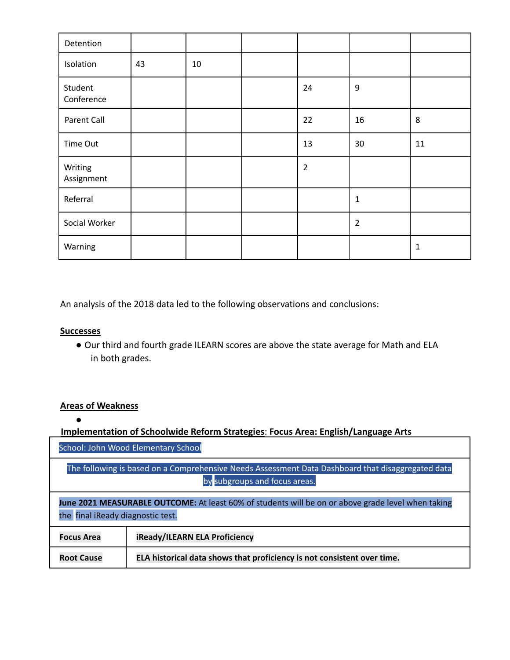| Detention             |    |    |                |                |    |
|-----------------------|----|----|----------------|----------------|----|
| Isolation             | 43 | 10 |                |                |    |
| Student<br>Conference |    |    | 24             | $9\,$          |    |
| Parent Call           |    |    | 22             | 16             | 8  |
| Time Out              |    |    | 13             | 30             | 11 |
| Writing<br>Assignment |    |    | $\overline{2}$ |                |    |
| Referral              |    |    |                | $\mathbf 1$    |    |
| Social Worker         |    |    |                | $\overline{2}$ |    |
| Warning               |    |    |                |                | 1  |

An analysis of the 2018 data led to the following observations and conclusions:

#### **Successes**

● Our third and fourth grade ILEARN scores are above the state average for Math and ELA in both grades.

#### **Areas of Weakness**

●

**Implementation of Schoolwide Reform Strategies**: **Focus Area: English/Language Arts**

School: John Wood Elementary School

The following is based on a Comprehensive Needs Assessment Data Dashboard that disaggregated data by subgroups and focus areas.

**June 2021 MEASURABLE OUTCOME:** At least 60% of students will be on or above grade level when taking the final iReady diagnostic test.

| <b>Focus Area</b> | iReady/ILEARN ELA Proficiency                                           |
|-------------------|-------------------------------------------------------------------------|
| <b>Root Cause</b> | ELA historical data shows that proficiency is not consistent over time. |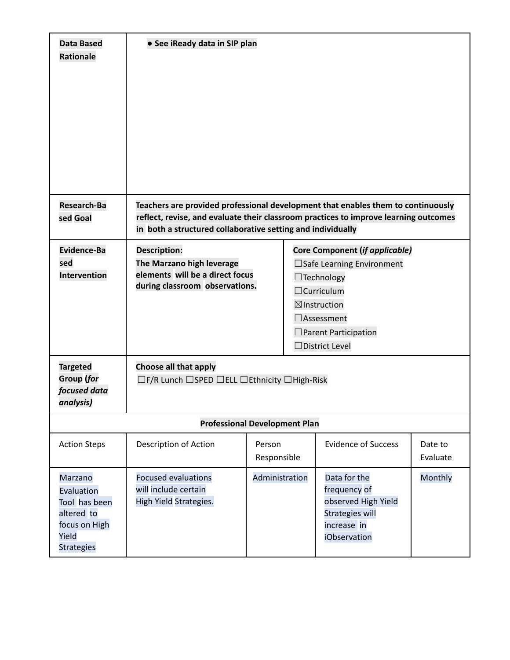| <b>Data Based</b><br><b>Rationale</b>                                                               | • See iReady data in SIP plan                                                                                                                                                                                                           |                       |                                                                                                                                                                                                                       |                     |
|-----------------------------------------------------------------------------------------------------|-----------------------------------------------------------------------------------------------------------------------------------------------------------------------------------------------------------------------------------------|-----------------------|-----------------------------------------------------------------------------------------------------------------------------------------------------------------------------------------------------------------------|---------------------|
| <b>Research-Ba</b><br>sed Goal                                                                      | Teachers are provided professional development that enables them to continuously<br>reflect, revise, and evaluate their classroom practices to improve learning outcomes<br>in both a structured collaborative setting and individually |                       |                                                                                                                                                                                                                       |                     |
| Evidence-Ba<br>sed<br><b>Intervention</b>                                                           | <b>Description:</b><br>The Marzano high leverage<br>elements will be a direct focus<br>during classroom observations.                                                                                                                   |                       | <b>Core Component (if applicable)</b><br>$\Box$ Safe Learning Environment<br>$\Box$ Technology<br>$\Box$ Curriculum<br>$\boxtimes$ Instruction<br>$\Box$ Assessment<br>$\Box$ Parent Participation<br>□District Level |                     |
| <b>Targeted</b><br><b>Group (for</b><br>focused data<br>analysis)                                   | Choose all that apply<br>□F/R Lunch □SPED □ELL □Ethnicity □High-Risk                                                                                                                                                                    |                       |                                                                                                                                                                                                                       |                     |
|                                                                                                     | <b>Professional Development Plan</b>                                                                                                                                                                                                    |                       |                                                                                                                                                                                                                       |                     |
| <b>Action Steps</b>                                                                                 | Description of Action                                                                                                                                                                                                                   | Person<br>Responsible | <b>Evidence of Success</b>                                                                                                                                                                                            | Date to<br>Evaluate |
| Marzano<br>Evaluation<br>Tool has been<br>altered to<br>focus on High<br>Yield<br><b>Strategies</b> | <b>Focused evaluations</b><br>will include certain<br>High Yield Strategies.                                                                                                                                                            | Administration        | Data for the<br>frequency of<br>observed High Yield<br><b>Strategies will</b><br>increase in<br>iObservation                                                                                                          | Monthly             |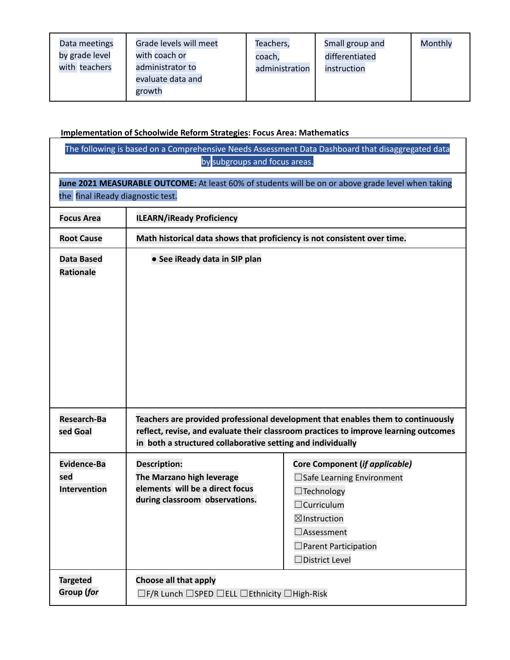| Data meetings<br>by grade level<br>with teachers | Grade levels will meet<br>with coach or<br>administrator to<br>evaluate data and<br>growth | Teachers,<br>coach,<br>administration | Small group and<br>differentiated<br>instruction | Monthly |
|--------------------------------------------------|--------------------------------------------------------------------------------------------|---------------------------------------|--------------------------------------------------|---------|
|--------------------------------------------------|--------------------------------------------------------------------------------------------|---------------------------------------|--------------------------------------------------|---------|

#### **Implementation of Schoolwide Reform Strategies: Focus Area: Mathematics**

|                                                  | by subgroups and focus areas.                                                                                                           | The following is based on a Comprehensive Needs Assessment Data Dashboard that disaggregated data                                                                                                               |  |  |  |  |
|--------------------------------------------------|-----------------------------------------------------------------------------------------------------------------------------------------|-----------------------------------------------------------------------------------------------------------------------------------------------------------------------------------------------------------------|--|--|--|--|
|                                                  | June 2021 MEASURABLE OUTCOME: At least 60% of students will be on or above grade level when taking<br>the final iReady diagnostic test. |                                                                                                                                                                                                                 |  |  |  |  |
| <b>Focus Area</b>                                | <b>ILEARN/iReady Proficiency</b>                                                                                                        |                                                                                                                                                                                                                 |  |  |  |  |
| <b>Root Cause</b>                                | Math historical data shows that proficiency is not consistent over time.                                                                |                                                                                                                                                                                                                 |  |  |  |  |
| <b>Data Based</b><br><b>Rationale</b>            | • See iReady data in SIP plan                                                                                                           |                                                                                                                                                                                                                 |  |  |  |  |
| Research-Ba<br>sed Goal                          | in both a structured collaborative setting and individually                                                                             | Teachers are provided professional development that enables them to continuously<br>reflect, revise, and evaluate their classroom practices to improve learning outcomes                                        |  |  |  |  |
| <b>Evidence-Ba</b><br>sed<br><b>Intervention</b> | <b>Description:</b><br>The Marzano high leverage<br>elements will be a direct focus<br>during classroom observations.                   | Core Component (if applicable)<br>$\Box$ Safe Learning Environment<br>$\Box$ Technology<br>$\Box$ Curriculum<br>$\boxtimes$ Instruction<br>$\Box$ Assessment<br>$\Box$ Parent Participation<br>□ District Level |  |  |  |  |
| <b>Targeted</b><br><b>Group (for</b>             | Choose all that apply<br>□F/R Lunch □SPED □ELL □Ethnicity □High-Risk                                                                    |                                                                                                                                                                                                                 |  |  |  |  |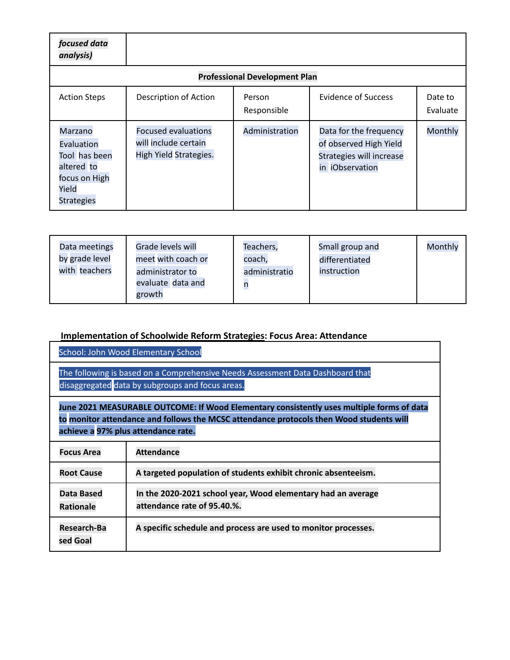| focused data<br>analysis)                                                                                  |                                                                              |                                      |                                                                                                 |                     |
|------------------------------------------------------------------------------------------------------------|------------------------------------------------------------------------------|--------------------------------------|-------------------------------------------------------------------------------------------------|---------------------|
|                                                                                                            |                                                                              | <b>Professional Development Plan</b> |                                                                                                 |                     |
| <b>Action Steps</b>                                                                                        | Description of Action                                                        | Person<br>Responsible                | <b>Evidence of Success</b>                                                                      | Date to<br>Evaluate |
| <b>Marzano</b><br>Evaluation<br>Tool has been<br>altered to<br>focus on High<br>Yield<br><b>Strategies</b> | <b>Focused evaluations</b><br>will include certain<br>High Yield Strategies. | Administration                       | Data for the frequency<br>of observed High Yield<br>Strategies will increase<br>in iObservation | Monthly             |

| Data meetings<br>by grade level<br>with teachers | Grade levels will<br>meet with coach or<br>administrator to<br>evaluate data and<br>growth | Teachers,<br>coach,<br>administratio | Small group and<br>differentiated<br>instruction | Monthly |
|--------------------------------------------------|--------------------------------------------------------------------------------------------|--------------------------------------|--------------------------------------------------|---------|
|--------------------------------------------------|--------------------------------------------------------------------------------------------|--------------------------------------|--------------------------------------------------|---------|

#### **Implementation of Schoolwide Reform Strategies: Focus Area: Attendance**

School: John Wood Elementary School

The following is based on a Comprehensive Needs Assessment Data Dashboard that disaggregated data by subgroups and focus areas.

**June 2021 MEASURABLE OUTCOME: If Wood Elementary consistently uses multiple forms of data to monitor attendance and follows the MCSC attendance protocols then Wood students will achieve a 97% plus attendance rate.**

| <b>Focus Area</b>                     | <b>Attendance</b>                                                                           |
|---------------------------------------|---------------------------------------------------------------------------------------------|
| <b>Root Cause</b>                     | A targeted population of students exhibit chronic absenteeism.                              |
| <b>Data Based</b><br><b>Rationale</b> | In the 2020-2021 school year, Wood elementary had an average<br>attendance rate of 95.40.%. |
| <b>Research-Ba</b><br>sed Goal        | A specific schedule and process are used to monitor processes.                              |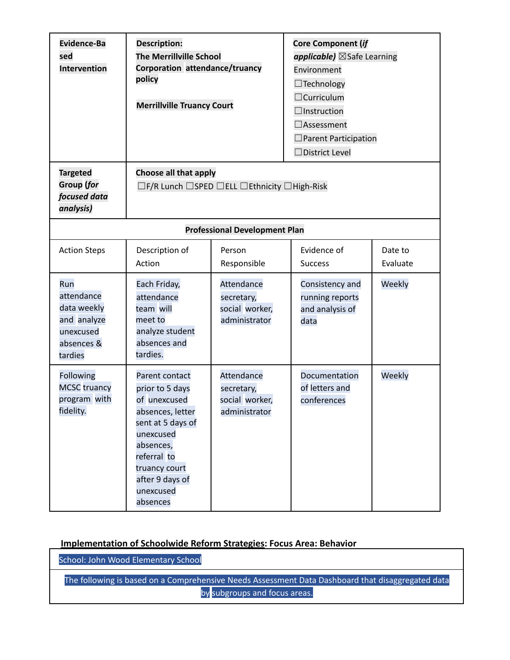| Evidence-Ba<br>sed<br><b>Intervention</b>                                             | <b>Description:</b><br><b>The Merrillville School</b><br>Corporation attendance/truancy<br>policy<br><b>Merrillville Truancy Court</b>                                                           |                                                             | <b>Core Component (if</b><br>applicable) ⊠Safe Learning<br>Environment<br>$\Box$ Technology<br>$\Box$ Curriculum<br>$\Box$ Instruction<br>$\Box$ Assessment<br>$\square$ Parent Participation<br>$\Box$ District Level |                     |
|---------------------------------------------------------------------------------------|--------------------------------------------------------------------------------------------------------------------------------------------------------------------------------------------------|-------------------------------------------------------------|------------------------------------------------------------------------------------------------------------------------------------------------------------------------------------------------------------------------|---------------------|
| <b>Targeted</b><br><b>Group (for</b><br>focused data<br>analysis)                     | Choose all that apply                                                                                                                                                                            | □F/R Lunch □SPED □ELL □Ethnicity □High-Risk                 |                                                                                                                                                                                                                        |                     |
|                                                                                       |                                                                                                                                                                                                  | <b>Professional Development Plan</b>                        |                                                                                                                                                                                                                        |                     |
| <b>Action Steps</b>                                                                   | Description of<br>Action                                                                                                                                                                         | Person<br>Responsible                                       | Evidence of<br><b>Success</b>                                                                                                                                                                                          | Date to<br>Evaluate |
| Run<br>attendance<br>data weekly<br>and analyze<br>unexcused<br>absences &<br>tardies | Each Friday,<br>attendance<br>team will<br>meet to<br>analyze student<br>absences and<br>tardies.                                                                                                | Attendance<br>secretary,<br>social worker,<br>administrator | Consistency and<br>running reports<br>and analysis of<br>data                                                                                                                                                          | Weekly              |
| Following<br><b>MCSC</b> truancy<br>program with<br>fidelity.                         | Parent contact<br>prior to 5 days<br>of unexcused<br>absences, letter<br>sent at 5 days of<br>unexcused<br>absences,<br>referral to<br>truancy court<br>after 9 days of<br>unexcused<br>absences | Attendance<br>secretary,<br>social worker,<br>administrator | Documentation<br>of letters and<br>conferences                                                                                                                                                                         | Weekly              |

#### **Implementation of Schoolwide Reform Strategies: Focus Area: Behavior**

School: John Wood Elementary School

The following is based on a Comprehensive Needs Assessment Data Dashboard that disaggregated data by subgroups and focus areas.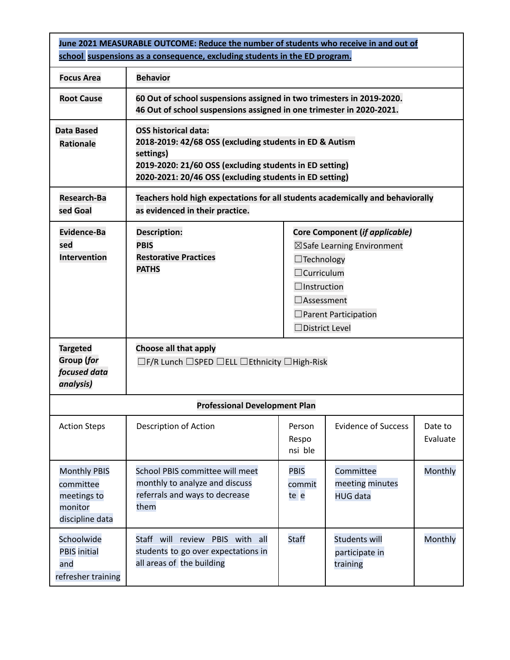| June 2021 MEASURABLE OUTCOME: Reduce the number of students who receive in and out of<br>school suspensions as a consequence, excluding students in the ED program.                                                                                                |                                                                                                                                                                                                                                                                                            |                               |                                                    |                     |
|--------------------------------------------------------------------------------------------------------------------------------------------------------------------------------------------------------------------------------------------------------------------|--------------------------------------------------------------------------------------------------------------------------------------------------------------------------------------------------------------------------------------------------------------------------------------------|-------------------------------|----------------------------------------------------|---------------------|
| <b>Focus Area</b>                                                                                                                                                                                                                                                  | <b>Behavior</b>                                                                                                                                                                                                                                                                            |                               |                                                    |                     |
| <b>Root Cause</b>                                                                                                                                                                                                                                                  | 60 Out of school suspensions assigned in two trimesters in 2019-2020.<br>46 Out of school suspensions assigned in one trimester in 2020-2021.                                                                                                                                              |                               |                                                    |                     |
| <b>OSS historical data:</b><br><b>Data Based</b><br>2018-2019: 42/68 OSS (excluding students in ED & Autism<br><b>Rationale</b><br>settings)<br>2019-2020: 21/60 OSS (excluding students in ED setting)<br>2020-2021: 20/46 OSS (excluding students in ED setting) |                                                                                                                                                                                                                                                                                            |                               |                                                    |                     |
| Research-Ba<br>Teachers hold high expectations for all students academically and behaviorally<br>as evidenced in their practice.<br>sed Goal                                                                                                                       |                                                                                                                                                                                                                                                                                            |                               |                                                    |                     |
| <b>Evidence-Ba</b><br>sed<br><b>Intervention</b>                                                                                                                                                                                                                   | <b>Description:</b><br>Core Component (if applicable)<br><b>PBIS</b><br>⊠Safe Learning Environment<br><b>Restorative Practices</b><br>$\Box$ Technology<br><b>PATHS</b><br>$\Box$ Curriculum<br>$\Box$ Instruction<br>$\Box$ Assessment<br>$\Box$ Parent Participation<br>□ District Level |                               |                                                    |                     |
| <b>Targeted</b><br>Group (for<br>focused data<br>analysis)                                                                                                                                                                                                         | Choose all that apply<br>$\Box$ F/R Lunch $\Box$ SPED $\Box$ ELL $\Box$ Ethnicity $\Box$ High-Risk                                                                                                                                                                                         |                               |                                                    |                     |
|                                                                                                                                                                                                                                                                    | <b>Professional Development Plan</b>                                                                                                                                                                                                                                                       |                               |                                                    |                     |
| <b>Action Steps</b>                                                                                                                                                                                                                                                | Description of Action                                                                                                                                                                                                                                                                      | Person<br>Respo<br>nsi ble    | <b>Evidence of Success</b>                         | Date to<br>Evaluate |
| <b>Monthly PBIS</b><br>committee<br>meetings to<br>monitor<br>discipline data                                                                                                                                                                                      | School PBIS committee will meet<br>monthly to analyze and discuss<br>referrals and ways to decrease<br>them                                                                                                                                                                                | <b>PBIS</b><br>commit<br>te e | Committee<br>meeting minutes<br><b>HUG data</b>    | Monthly             |
| Schoolwide<br><b>PBIS</b> initial<br>and<br>refresher training                                                                                                                                                                                                     | Staff will review PBIS with all<br>students to go over expectations in<br>all areas of the building                                                                                                                                                                                        | <b>Staff</b>                  | <b>Students will</b><br>participate in<br>training | Monthly             |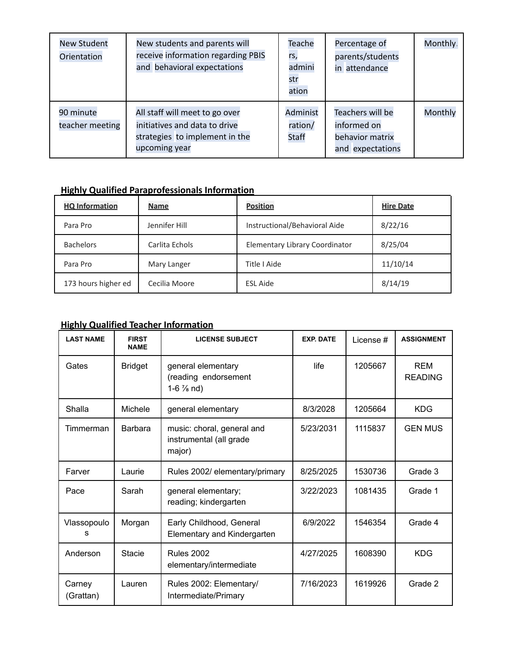| <b>New Student</b><br>Orientation | New students and parents will<br>receive information regarding PBIS<br>and behavioral expectations                 | Teache<br>rs,<br>admini<br>str<br>ation | Percentage of<br>parents/students<br>in attendance                     | Monthly. |
|-----------------------------------|--------------------------------------------------------------------------------------------------------------------|-----------------------------------------|------------------------------------------------------------------------|----------|
| 90 minute<br>teacher meeting      | All staff will meet to go over<br>initiatives and data to drive<br>strategies to implement in the<br>upcoming year | Administ<br>ration/<br><b>Staff</b>     | Teachers will be<br>informed on<br>behavior matrix<br>and expectations | Monthly  |

### **Highly Qualified Paraprofessionals Information**

| <b>HQ Information</b> | <b>Name</b>    | <b>Position</b>                | <b>Hire Date</b> |
|-----------------------|----------------|--------------------------------|------------------|
| Para Pro              | Jennifer Hill  | Instructional/Behavioral Aide  | 8/22/16          |
| <b>Bachelors</b>      | Carlita Echols | Elementary Library Coordinator | 8/25/04          |
| Para Pro              | Mary Langer    | Title I Aide                   | 11/10/14         |
| 173 hours higher ed   | Cecilia Moore  | <b>ESL Aide</b>                | 8/14/19          |

#### **Highly Qualified Teacher Information**

| <b>LAST NAME</b>    | <b>FIRST</b><br><b>NAME</b> | <b>LICENSE SUBJECT</b>                                              | <b>EXP. DATE</b> | License# | <b>ASSIGNMENT</b>            |
|---------------------|-----------------------------|---------------------------------------------------------------------|------------------|----------|------------------------------|
| Gates               | <b>Bridget</b>              | general elementary<br>(reading endorsement<br>1-6 $\frac{7}{8}$ nd) | life             | 1205667  | <b>REM</b><br><b>READING</b> |
| Shalla              | Michele                     | general elementary                                                  | 8/3/2028         | 1205664  | <b>KDG</b>                   |
| Timmerman           | <b>Barbara</b>              | music: choral, general and<br>instrumental (all grade<br>major)     | 5/23/2031        | 1115837  | <b>GEN MUS</b>               |
| Farver              | Laurie                      | Rules 2002/ elementary/primary                                      | 8/25/2025        | 1530736  | Grade 3                      |
| Pace                | Sarah                       | general elementary;<br>reading; kindergarten                        | 3/22/2023        | 1081435  | Grade 1                      |
| Vlassopoulo<br>s    | Morgan                      | Early Childhood, General<br>Elementary and Kindergarten             | 6/9/2022         | 1546354  | Grade 4                      |
| Anderson            | Stacie                      | <b>Rules 2002</b><br>elementary/intermediate                        | 4/27/2025        | 1608390  | <b>KDG</b>                   |
| Carney<br>(Grattan) | Lauren                      | Rules 2002: Elementary/<br>Intermediate/Primary                     | 7/16/2023        | 1619926  | Grade 2                      |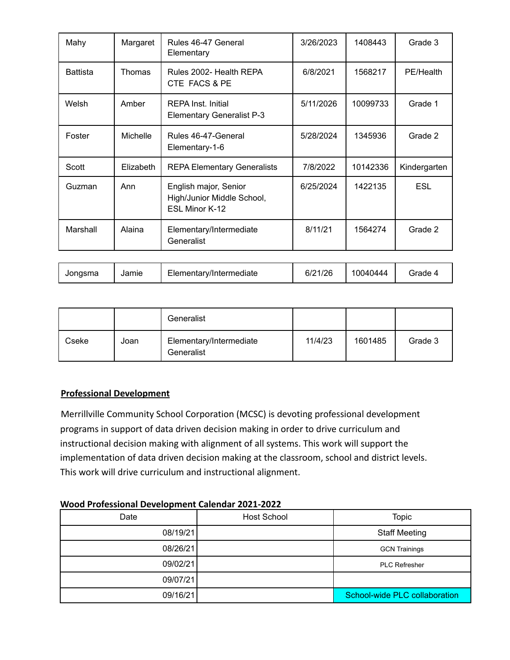| Mahy            | Margaret  | Rules 46-47 General<br>Elementary                                     | 3/26/2023 | 1408443  | Grade 3      |
|-----------------|-----------|-----------------------------------------------------------------------|-----------|----------|--------------|
| <b>Battista</b> | Thomas    | Rules 2002- Health REPA<br>CTE FACS & PE                              | 6/8/2021  | 1568217  | PE/Health    |
| Welsh           | Amber     | <b>REPA Inst. Initial</b><br><b>Elementary Generalist P-3</b>         | 5/11/2026 | 10099733 | Grade 1      |
| Foster          | Michelle  | Rules 46-47-General<br>Elementary-1-6                                 | 5/28/2024 | 1345936  | Grade 2      |
| Scott           | Elizabeth | <b>REPA Elementary Generalists</b>                                    | 7/8/2022  | 10142336 | Kindergarten |
| Guzman          | Ann       | English major, Senior<br>High/Junior Middle School,<br>ESL Minor K-12 | 6/25/2024 | 1422135  | <b>ESL</b>   |
| Marshall        | Alaina    | Elementary/Intermediate<br>Generalist                                 | 8/11/21   | 1564274  | Grade 2      |
|                 |           |                                                                       |           |          |              |

| --<br>110c<br>10040444<br>ייי<br>Jonasma<br>' irade<br>Jamie<br>Elementary/Intermediate<br>bľZ<br>' Z U |  |  |  |  |  |  |
|---------------------------------------------------------------------------------------------------------|--|--|--|--|--|--|
|---------------------------------------------------------------------------------------------------------|--|--|--|--|--|--|

|       |      | Generalist                            |         |         |         |
|-------|------|---------------------------------------|---------|---------|---------|
| Cseke | Joan | Elementary/Intermediate<br>Generalist | 11/4/23 | 1601485 | Grade 3 |

#### **Professional Development**

Merrillville Community School Corporation (MCSC) is devoting professional development programs in support of data driven decision making in order to drive curriculum and instructional decision making with alignment of all systems. This work will support the implementation of data driven decision making at the classroom, school and district levels. This work will drive curriculum and instructional alignment.

#### **Wood Professional Development Calendar 2021-2022**

| Date     | <b>Host School</b> | <b>Topic</b>                  |
|----------|--------------------|-------------------------------|
| 08/19/21 |                    | <b>Staff Meeting</b>          |
| 08/26/21 |                    | <b>GCN Trainings</b>          |
| 09/02/21 |                    | <b>PLC Refresher</b>          |
| 09/07/21 |                    |                               |
| 09/16/21 |                    | School-wide PLC collaboration |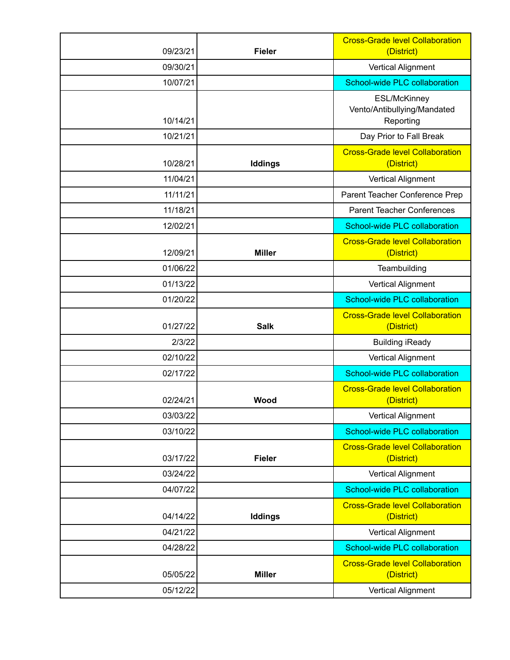| 09/23/21 | <b>Fieler</b> | <b>Cross-Grade level Collaboration</b><br>(District)            |
|----------|---------------|-----------------------------------------------------------------|
| 09/30/21 |               | <b>Vertical Alignment</b>                                       |
| 10/07/21 |               | School-wide PLC collaboration                                   |
| 10/14/21 |               | <b>ESL/McKinney</b><br>Vento/Antibullying/Mandated<br>Reporting |
| 10/21/21 |               | Day Prior to Fall Break                                         |
| 10/28/21 | Iddings       | <b>Cross-Grade level Collaboration</b><br>(District)            |
| 11/04/21 |               | <b>Vertical Alignment</b>                                       |
| 11/11/21 |               | Parent Teacher Conference Prep                                  |
| 11/18/21 |               | <b>Parent Teacher Conferences</b>                               |
| 12/02/21 |               | School-wide PLC collaboration                                   |
| 12/09/21 | <b>Miller</b> | <b>Cross-Grade level Collaboration</b><br>(District)            |
| 01/06/22 |               | Teambuilding                                                    |
| 01/13/22 |               | <b>Vertical Alignment</b>                                       |
| 01/20/22 |               | School-wide PLC collaboration                                   |
| 01/27/22 | <b>Salk</b>   | <b>Cross-Grade level Collaboration</b><br>(District)            |
| 2/3/22   |               | <b>Building iReady</b>                                          |
| 02/10/22 |               | <b>Vertical Alignment</b>                                       |
| 02/17/22 |               | School-wide PLC collaboration                                   |
| 02/24/21 | Wood          | <b>Cross-Grade level Collaboration</b><br>(District)            |
| 03/03/22 |               | <b>Vertical Alignment</b>                                       |
| 03/10/22 |               | School-wide PLC collaboration                                   |
| 03/17/22 | <b>Fieler</b> | <b>Cross-Grade level Collaboration</b><br>(District)            |
| 03/24/22 |               | <b>Vertical Alignment</b>                                       |
| 04/07/22 |               | School-wide PLC collaboration                                   |
| 04/14/22 | Iddings       | <b>Cross-Grade level Collaboration</b><br>(District)            |
| 04/21/22 |               | <b>Vertical Alignment</b>                                       |
| 04/28/22 |               | School-wide PLC collaboration                                   |
| 05/05/22 | <b>Miller</b> | <b>Cross-Grade level Collaboration</b><br>(District)            |
| 05/12/22 |               | <b>Vertical Alignment</b>                                       |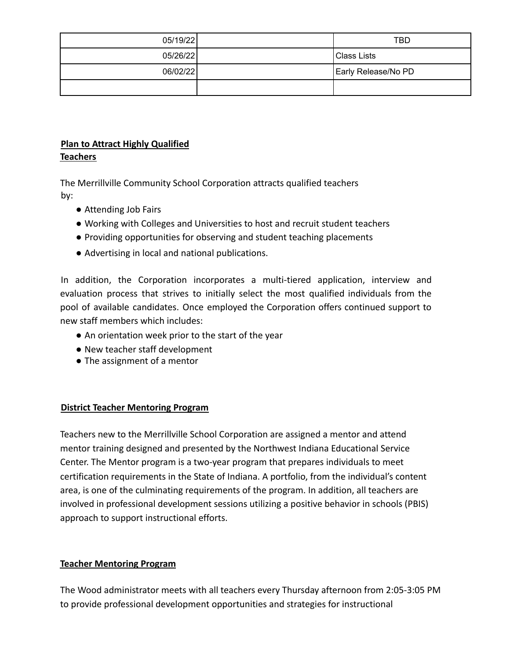| 05/19/22 | <b>TBD</b>          |
|----------|---------------------|
| 05/26/22 | Class Lists         |
| 06/02/22 | Early Release/No PD |
|          |                     |

#### **Plan to Attract Highly Qualified Teachers**

The Merrillville Community School Corporation attracts qualified teachers by:

- Attending Job Fairs
- Working with Colleges and Universities to host and recruit student teachers
- Providing opportunities for observing and student teaching placements
- Advertising in local and national publications.

In addition, the Corporation incorporates a multi-tiered application, interview and evaluation process that strives to initially select the most qualified individuals from the pool of available candidates. Once employed the Corporation offers continued support to new staff members which includes:

- An orientation week prior to the start of the year
- New teacher staff development
- The assignment of a mentor

#### **District Teacher Mentoring Program**

Teachers new to the Merrillville School Corporation are assigned a mentor and attend mentor training designed and presented by the Northwest Indiana Educational Service Center. The Mentor program is a two-year program that prepares individuals to meet certification requirements in the State of Indiana. A portfolio, from the individual's content area, is one of the culminating requirements of the program. In addition, all teachers are involved in professional development sessions utilizing a positive behavior in schools (PBIS) approach to support instructional efforts.

#### **Teacher Mentoring Program**

The Wood administrator meets with all teachers every Thursday afternoon from 2:05-3:05 PM to provide professional development opportunities and strategies for instructional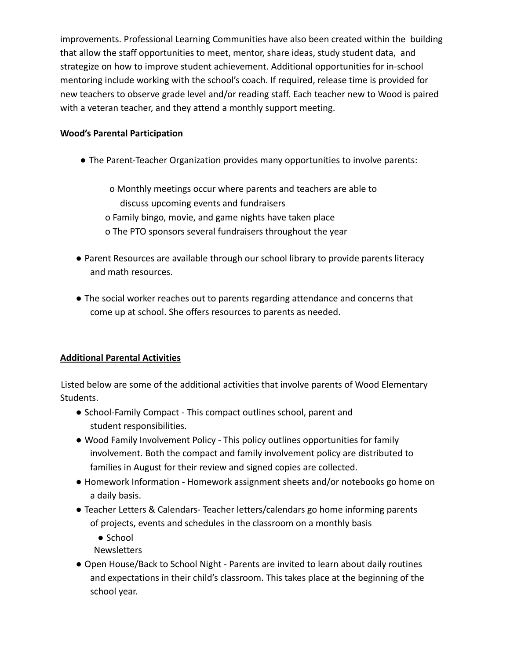improvements. Professional Learning Communities have also been created within the building that allow the staff opportunities to meet, mentor, share ideas, study student data, and strategize on how to improve student achievement. Additional opportunities for in-school mentoring include working with the school's coach. If required, release time is provided for new teachers to observe grade level and/or reading staff. Each teacher new to Wood is paired with a veteran teacher, and they attend a monthly support meeting.

#### **Wood's Parental Participation**

● The Parent-Teacher Organization provides many opportunities to involve parents:

o Monthly meetings occur where parents and teachers are able to discuss upcoming events and fundraisers o Family bingo, movie, and game nights have taken place o The PTO sponsors several fundraisers throughout the year

- Parent Resources are available through our school library to provide parents literacy and math resources.
- The social worker reaches out to parents regarding attendance and concerns that come up at school. She offers resources to parents as needed.

#### **Additional Parental Activities**

Listed below are some of the additional activities that involve parents of Wood Elementary Students.

- School-Family Compact This compact outlines school, parent and student responsibilities.
- Wood Family Involvement Policy This policy outlines opportunities for family involvement. Both the compact and family involvement policy are distributed to families in August for their review and signed copies are collected.
- Homework Information Homework assignment sheets and/or notebooks go home on a daily basis.
- Teacher Letters & Calendars- Teacher letters/calendars go home informing parents of projects, events and schedules in the classroom on a monthly basis
	- School
	- **Newsletters**
- Open House/Back to School Night Parents are invited to learn about daily routines and expectations in their child's classroom. This takes place at the beginning of the school year.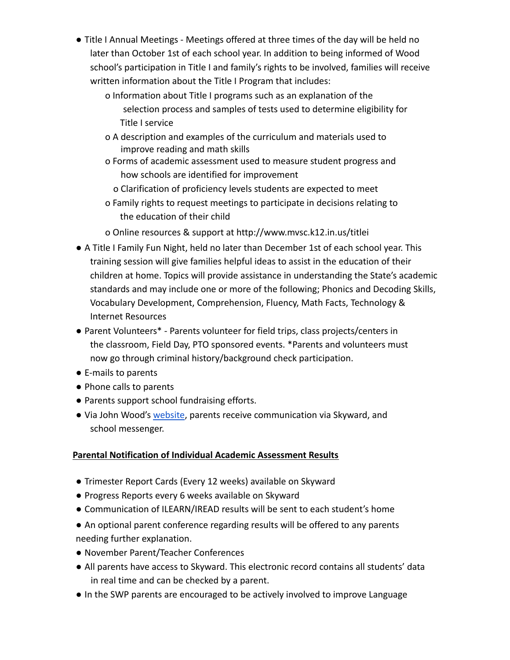- Title I Annual Meetings Meetings offered at three times of the day will be held no later than October 1st of each school year. In addition to being informed of Wood school's participation in Title I and family's rights to be involved, families will receive written information about the Title I Program that includes:
	- o Information about Title I programs such as an explanation of the selection process and samples of tests used to determine eligibility for Title I service
	- o A description and examples of the curriculum and materials used to improve reading and math skills
	- o Forms of academic assessment used to measure student progress and how schools are identified for improvement
		- o Clarification of proficiency levels students are expected to meet
	- o Family rights to request meetings to participate in decisions relating to the education of their child
	- o Online resources & support at http://www.mvsc.k12.in.us/titlei
- A Title I Family Fun Night, held no later than December 1st of each school year. This training session will give families helpful ideas to assist in the education of their children at home. Topics will provide assistance in understanding the State's academic standards and may include one or more of the following; Phonics and Decoding Skills, Vocabulary Development, Comprehension, Fluency, Math Facts, Technology & Internet Resources
- Parent Volunteers\* Parents volunteer for field trips, class projects/centers in the classroom, Field Day, PTO sponsored events. \*Parents and volunteers must now go through criminal history/background check participation.
- E-mails to parents
- Phone calls to parents
- Parents support school fundraising efforts.
- Via John Wood's website, parents receive communication via Skyward, and school messenger.

#### **Parental Notification of Individual Academic Assessment Results**

- Trimester Report Cards (Every 12 weeks) available on Skyward
- Progress Reports every 6 weeks available on Skyward
- Communication of ILEARN/IREAD results will be sent to each student's home
- An optional parent conference regarding results will be offered to any parents needing further explanation.
- November Parent/Teacher Conferences
- All parents have access to Skyward. This electronic record contains all students' data in real time and can be checked by a parent.
- In the SWP parents are encouraged to be actively involved to improve Language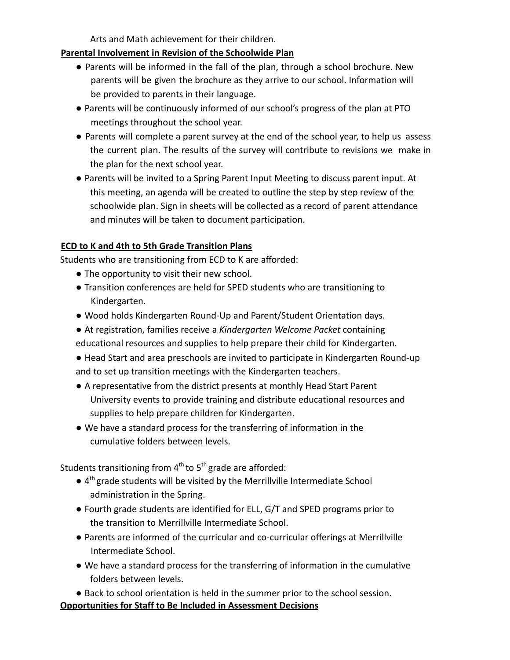Arts and Math achievement for their children.

#### **Parental Involvement in Revision of the Schoolwide Plan**

- Parents will be informed in the fall of the plan, through a school brochure. New parents will be given the brochure as they arrive to our school. Information will be provided to parents in their language.
- Parents will be continuously informed of our school's progress of the plan at PTO meetings throughout the school year.
- Parents will complete a parent survey at the end of the school year, to help us assess the current plan. The results of the survey will contribute to revisions we make in the plan for the next school year.
- Parents will be invited to a Spring Parent Input Meeting to discuss parent input. At this meeting, an agenda will be created to outline the step by step review of the schoolwide plan. Sign in sheets will be collected as a record of parent attendance and minutes will be taken to document participation.

#### **ECD to K and 4th to 5th Grade Transition Plans**

Students who are transitioning from ECD to K are afforded:

- The opportunity to visit their new school.
- Transition conferences are held for SPED students who are transitioning to Kindergarten.
- Wood holds Kindergarten Round-Up and Parent/Student Orientation days.
- At registration, families receive a *Kindergarten Welcome Packet* containing educational resources and supplies to help prepare their child for Kindergarten.
- Head Start and area preschools are invited to participate in Kindergarten Round-up and to set up transition meetings with the Kindergarten teachers.
- A representative from the district presents at monthly Head Start Parent University events to provide training and distribute educational resources and supplies to help prepare children for Kindergarten.
- We have a standard process for the transferring of information in the cumulative folders between levels.

Students transitioning from  $4^{th}$  to  $5^{th}$  grade are afforded:

- $\bullet$  4<sup>th</sup> grade students will be visited by the Merrillville Intermediate School administration in the Spring.
- Fourth grade students are identified for ELL, G/T and SPED programs prior to the transition to Merrillville Intermediate School.
- Parents are informed of the curricular and co-curricular offerings at Merrillville Intermediate School.
- We have a standard process for the transferring of information in the cumulative folders between levels.

● Back to school orientation is held in the summer prior to the school session. **Opportunities for Staff to Be Included in Assessment Decisions**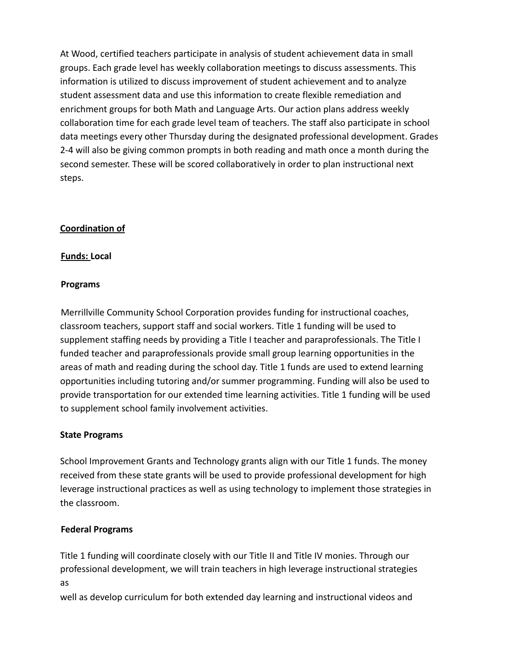At Wood, certified teachers participate in analysis of student achievement data in small groups. Each grade level has weekly collaboration meetings to discuss assessments. This information is utilized to discuss improvement of student achievement and to analyze student assessment data and use this information to create flexible remediation and enrichment groups for both Math and Language Arts. Our action plans address weekly collaboration time for each grade level team of teachers. The staff also participate in school data meetings every other Thursday during the designated professional development. Grades 2-4 will also be giving common prompts in both reading and math once a month during the second semester. These will be scored collaboratively in order to plan instructional next steps.

#### **Coordination of**

#### **Funds: Local**

#### **Programs**

Merrillville Community School Corporation provides funding for instructional coaches, classroom teachers, support staff and social workers. Title 1 funding will be used to supplement staffing needs by providing a Title I teacher and paraprofessionals. The Title I funded teacher and paraprofessionals provide small group learning opportunities in the areas of math and reading during the school day. Title 1 funds are used to extend learning opportunities including tutoring and/or summer programming. Funding will also be used to provide transportation for our extended time learning activities. Title 1 funding will be used to supplement school family involvement activities.

#### **State Programs**

School Improvement Grants and Technology grants align with our Title 1 funds. The money received from these state grants will be used to provide professional development for high leverage instructional practices as well as using technology to implement those strategies in the classroom.

#### **Federal Programs**

Title 1 funding will coordinate closely with our Title II and Title IV monies. Through our professional development, we will train teachers in high leverage instructional strategies as

well as develop curriculum for both extended day learning and instructional videos and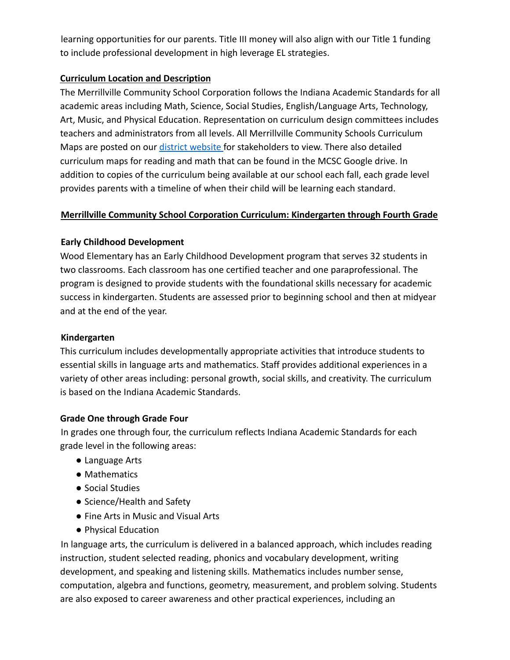learning opportunities for our parents. Title III money will also align with our Title 1 funding to include professional development in high leverage EL strategies.

#### **Curriculum Location and Description**

The Merrillville Community School Corporation follows the Indiana Academic Standards for all academic areas including Math, Science, Social Studies, English/Language Arts, Technology, Art, Music, and Physical Education. Representation on curriculum design committees includes teachers and administrators from all levels. All Merrillville Community Schools Curriculum Maps are posted on our district website for stakeholders to view. There also detailed curriculum maps for reading and math that can be found in the MCSC Google drive. In addition to copies of the curriculum being available at our school each fall, each grade level provides parents with a timeline of when their child will be learning each standard.

#### **Merrillville Community School Corporation Curriculum: Kindergarten through Fourth Grade**

#### **Early Childhood Development**

Wood Elementary has an Early Childhood Development program that serves 32 students in two classrooms. Each classroom has one certified teacher and one paraprofessional. The program is designed to provide students with the foundational skills necessary for academic success in kindergarten. Students are assessed prior to beginning school and then at midyear and at the end of the year.

#### **Kindergarten**

This curriculum includes developmentally appropriate activities that introduce students to essential skills in language arts and mathematics. Staff provides additional experiences in a variety of other areas including: personal growth, social skills, and creativity. The curriculum is based on the Indiana Academic Standards.

#### **Grade One through Grade Four**

In grades one through four, the curriculum reflects Indiana Academic Standards for each grade level in the following areas:

- Language Arts
- Mathematics
- Social Studies
- Science/Health and Safety
- Fine Arts in Music and Visual Arts
- Physical Education

In language arts, the curriculum is delivered in a balanced approach, which includes reading instruction, student selected reading, phonics and vocabulary development, writing development, and speaking and listening skills. Mathematics includes number sense, computation, algebra and functions, geometry, measurement, and problem solving. Students are also exposed to career awareness and other practical experiences, including an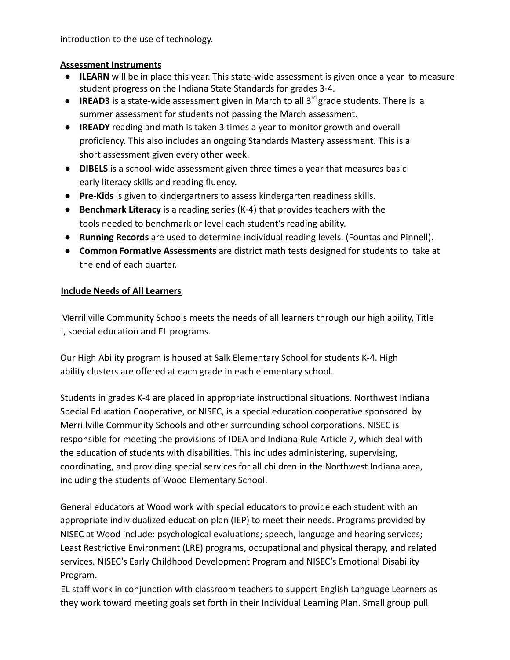introduction to the use of technology.

#### **Assessment Instruments**

- **ILEARN** will be in place this year. This state-wide assessment is given once a year to measure student progress on the Indiana State Standards for grades 3-4.
- **IREAD3** is a state-wide assessment given in March to all  $3^{rd}$  grade students. There is a summer assessment for students not passing the March assessment.
- **IREADY** reading and math is taken 3 times a year to monitor growth and overall proficiency. This also includes an ongoing Standards Mastery assessment. This is a short assessment given every other week.
- **DIBELS** is a school-wide assessment given three times a year that measures basic early literacy skills and reading fluency.
- **Pre-Kids** is given to kindergartners to assess kindergarten readiness skills.
- **Benchmark Literacy** is a reading series (K-4) that provides teachers with the tools needed to benchmark or level each student's reading ability.
- **Running Records** are used to determine individual reading levels. (Fountas and Pinnell).
- **Common Formative Assessments** are district math tests designed for students to take at the end of each quarter.

#### **Include Needs of All Learners**

Merrillville Community Schools meets the needs of all learners through our high ability, Title I, special education and EL programs.

Our High Ability program is housed at Salk Elementary School for students K-4. High ability clusters are offered at each grade in each elementary school.

Students in grades K-4 are placed in appropriate instructional situations. Northwest Indiana Special Education Cooperative, or NISEC, is a special education cooperative sponsored by Merrillville Community Schools and other surrounding school corporations. NISEC is responsible for meeting the provisions of IDEA and Indiana Rule Article 7, which deal with the education of students with disabilities. This includes administering, supervising, coordinating, and providing special services for all children in the Northwest Indiana area, including the students of Wood Elementary School.

General educators at Wood work with special educators to provide each student with an appropriate individualized education plan (IEP) to meet their needs. Programs provided by NISEC at Wood include: psychological evaluations; speech, language and hearing services; Least Restrictive Environment (LRE) programs, occupational and physical therapy, and related services. NISEC's Early Childhood Development Program and NISEC's Emotional Disability Program.

EL staff work in conjunction with classroom teachers to support English Language Learners as they work toward meeting goals set forth in their Individual Learning Plan. Small group pull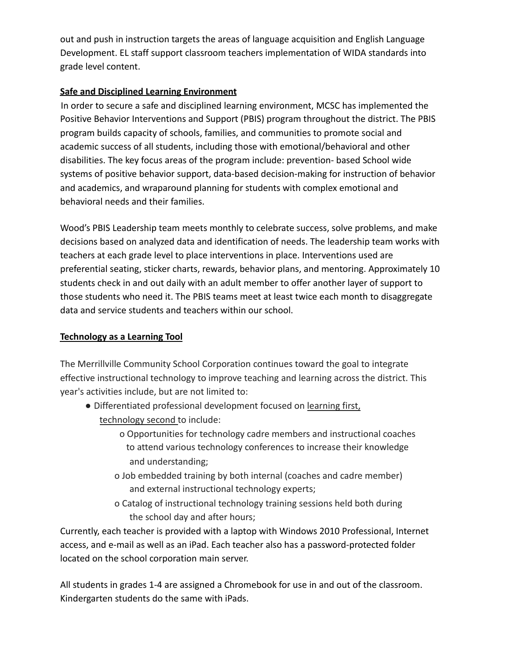out and push in instruction targets the areas of language acquisition and English Language Development. EL staff support classroom teachers implementation of WIDA standards into grade level content.

#### **Safe and Disciplined Learning Environment**

In order to secure a safe and disciplined learning environment, MCSC has implemented the Positive Behavior Interventions and Support (PBIS) program throughout the district. The PBIS program builds capacity of schools, families, and communities to promote social and academic success of all students, including those with emotional/behavioral and other disabilities. The key focus areas of the program include: prevention- based School wide systems of positive behavior support, data-based decision-making for instruction of behavior and academics, and wraparound planning for students with complex emotional and behavioral needs and their families.

Wood's PBIS Leadership team meets monthly to celebrate success, solve problems, and make decisions based on analyzed data and identification of needs. The leadership team works with teachers at each grade level to place interventions in place. Interventions used are preferential seating, sticker charts, rewards, behavior plans, and mentoring. Approximately 10 students check in and out daily with an adult member to offer another layer of support to those students who need it. The PBIS teams meet at least twice each month to disaggregate data and service students and teachers within our school.

#### **Technology as a Learning Tool**

The Merrillville Community School Corporation continues toward the goal to integrate effective instructional technology to improve teaching and learning across the district. This year's activities include, but are not limited to:

- Differentiated professional development focused on learning first, technology second to include:
	- o Opportunities for technology cadre members and instructional coaches to attend various technology conferences to increase their knowledge and understanding;
	- o Job embedded training by both internal (coaches and cadre member) and external instructional technology experts;
	- o Catalog of instructional technology training sessions held both during the school day and after hours;

Currently, each teacher is provided with a laptop with Windows 2010 Professional, Internet access, and e-mail as well as an iPad. Each teacher also has a password-protected folder located on the school corporation main server.

All students in grades 1-4 are assigned a Chromebook for use in and out of the classroom. Kindergarten students do the same with iPads.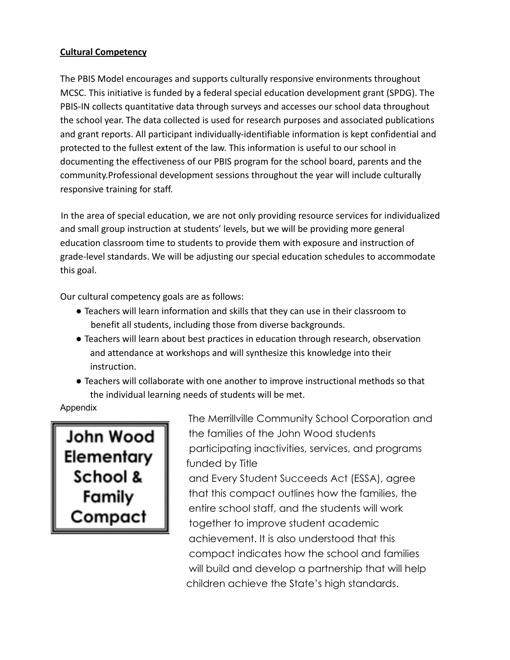#### **Cultural Competency**

The PBIS Model encourages and supports culturally responsive environments throughout MCSC. This initiative is funded by a federal special education development grant (SPDG). The PBIS-IN collects quantitative data through surveys and accesses our school data throughout the school year. The data collected is used for research purposes and associated publications and grant reports. All participant individually-identifiable information is kept confidential and protected to the fullest extent of the law. This information is useful to our school in documenting the effectiveness of our PBIS program for the school board, parents and the community.Professional development sessions throughout the year will include culturally responsive training for staff.

In the area of special education, we are not only providing resource services for individualized and small group instruction at students' levels, but we will be providing more general education classroom time to students to provide them with exposure and instruction of grade-level standards. We will be adjusting our special education schedules to accommodate this goal.

Our cultural competency goals are as follows:

- Teachers will learn information and skills that they can use in their classroom to benefit all students, including those from diverse backgrounds.
- Teachers will learn about best practices in education through research, observation and attendance at workshops and will synthesize this knowledge into their instruction.
- Teachers will collaborate with one another to improve instructional methods so that the individual learning needs of students will be met.

Appendix

John Wood Elementary<br>School &<br>Family Compact

The Merrillville Community School Corporation and the families of the John Wood students participating inactivities, services, and programs funded by Title

and Every Student Succeeds Act (ESSA), agree that this compact outlines how the families, the entire school staff, and the students will work together to improve student academic achievement. It is also understood that this compact indicates how the school and families will build and develop a partnership that will help children achieve the State's high standards.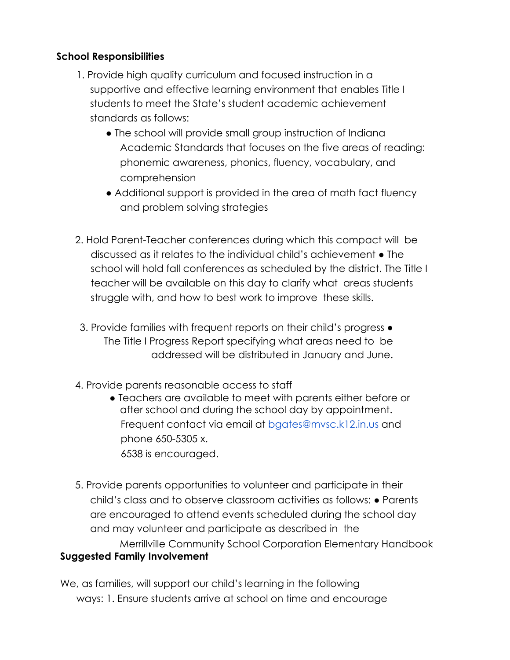#### **School Responsibilities**

- 1. Provide high quality curriculum and focused instruction in a supportive and effective learning environment that enables Title I students to meet the State's student academic achievement standards as follows:
	- The school will provide small group instruction of Indiana Academic Standards that focuses on the five areas of reading: phonemic awareness, phonics, fluency, vocabulary, and comprehension
	- Additional support is provided in the area of math fact fluency and problem solving strategies
- 2. Hold Parent-Teacher conferences during which this compact will be discussed as it relates to the individual child's achievement ● The school will hold fall conferences as scheduled by the district. The Title I teacher will be available on this day to clarify what areas students struggle with, and how to best work to improve these skills.
- 3. Provide families with frequent reports on their child's progress The Title I Progress Report specifying what areas need to be addressed will be distributed in January and June.
- 4. Provide parents reasonable access to staff
	- Teachers are available to meet with parents either before or after school and during the school day by appointment. Frequent contact via email at bgates@mvsc.k12.in.us and phone 650-5305 x. 6538 is encouraged.
- 5. Provide parents opportunities to volunteer and participate in their child's class and to observe classroom activities as follows: ● Parents are encouraged to attend events scheduled during the school day and may volunteer and participate as described in the Merrillville Community School Corporation Elementary Handbook **Suggested Family Involvement**

We, as families, will support our child's learning in the following ways: 1. Ensure students arrive at school on time and encourage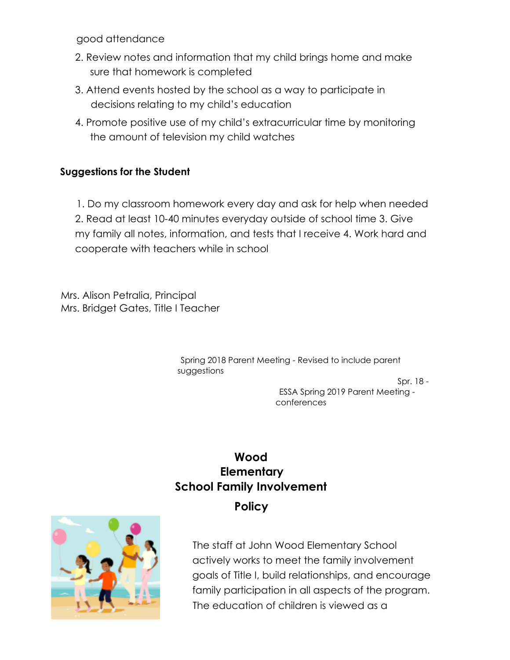good attendance

- 2. Review notes and information that my child brings home and make sure that homework is completed
- 3. Attend events hosted by the school as a way to participate in decisions relating to my child's education
- 4. Promote positive use of my child's extracurricular time by monitoring the amount of television my child watches

#### **Suggestions for the Student**

1. Do my classroom homework every day and ask for help when needed 2. Read at least 10-40 minutes everyday outside of school time 3. Give my family all notes, information, and tests that I receive 4. Work hard and cooperate with teachers while in school

Mrs. Alison Petralia, Principal Mrs. Bridget Gates, Title I Teacher

> Spring 2018 Parent Meeting - Revised to include parent suggestions

Spr. 18 -

ESSA Spring 2019 Parent Meeting conferences

### **Wood Elementary School Family Involvement Policy**



The staff at John Wood Elementary School actively works to meet the family involvement goals of Title I, build relationships, and encourage family participation in all aspects of the program. The education of children is viewed as a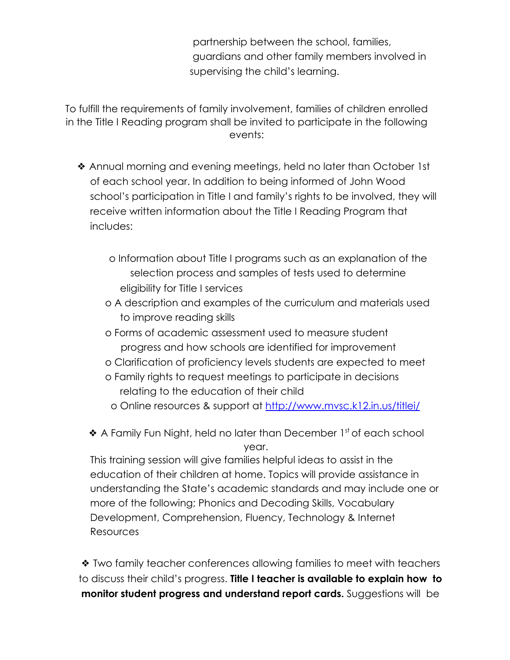partnership between the school, families, guardians and other family members involved in supervising the child's learning.

To fulfill the requirements of family involvement, families of children enrolled in the Title I Reading program shall be invited to participate in the following events:

- ❖ Annual morning and evening meetings, held no later than October 1st of each school year. In addition to being informed of John Wood school's participation in Title I and family's rights to be involved, they will receive written information about the Title I Reading Program that includes:
	- o Information about Title I programs such as an explanation of the selection process and samples of tests used to determine eligibility for Title I services
	- o A description and examples of the curriculum and materials used to improve reading skills
	- o Forms of academic assessment used to measure student progress and how schools are identified for improvement
	- o Clarification of proficiency levels students are expected to meet
	- o Family rights to request meetings to participate in decisions relating to the education of their child
		- o Online resources & support at http://www.mvsc.k12.in.us/titlei/
	- ◆ A Family Fun Night, held no later than December 1<sup>st</sup> of each school year.

This training session will give families helpful ideas to assist in the education of their children at home. Topics will provide assistance in understanding the State's academic standards and may include one or more of the following; Phonics and Decoding Skills, Vocabulary Development, Comprehension, Fluency, Technology & Internet Resources

❖ Two family teacher conferences allowing families to meet with teachers to discuss their child's progress. **Title I teacher is available to explain how to monitor student progress and understand report cards.** Suggestions will be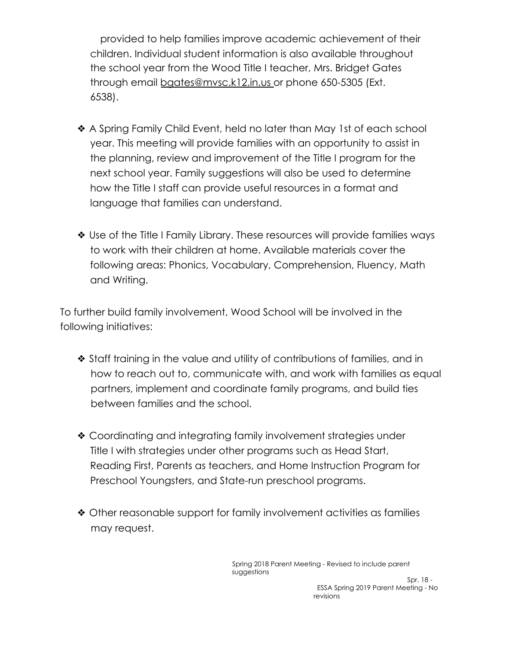provided to help families improve academic achievement of their children. Individual student information is also available throughout the school year from the Wood Title I teacher, Mrs. Bridget Gates through email bgates@mvsc.k12.in.us or phone 650-5305 (Ext. 6538).

- ❖ A Spring Family Child Event, held no later than May 1st of each school year. This meeting will provide families with an opportunity to assist in the planning, review and improvement of the Title I program for the next school year. Family suggestions will also be used to determine how the Title I staff can provide useful resources in a format and language that families can understand.
- ❖ Use of the Title I Family Library. These resources will provide families ways to work with their children at home. Available materials cover the following areas: Phonics, Vocabulary, Comprehension, Fluency, Math and Writing.

To further build family involvement, Wood School will be involved in the following initiatives:

- ❖ Staff training in the value and utility of contributions of families, and in how to reach out to, communicate with, and work with families as equal partners, implement and coordinate family programs, and build ties between families and the school.
- ❖ Coordinating and integrating family involvement strategies under Title I with strategies under other programs such as Head Start, Reading First, Parents as teachers, and Home Instruction Program for Preschool Youngsters, and State-run preschool programs.
- ❖ Other reasonable support for family involvement activities as families may request.

Spring 2018 Parent Meeting - Revised to include parent suggestions

Spr. 18 - ESSA Spring 2019 Parent Meeting - No revisions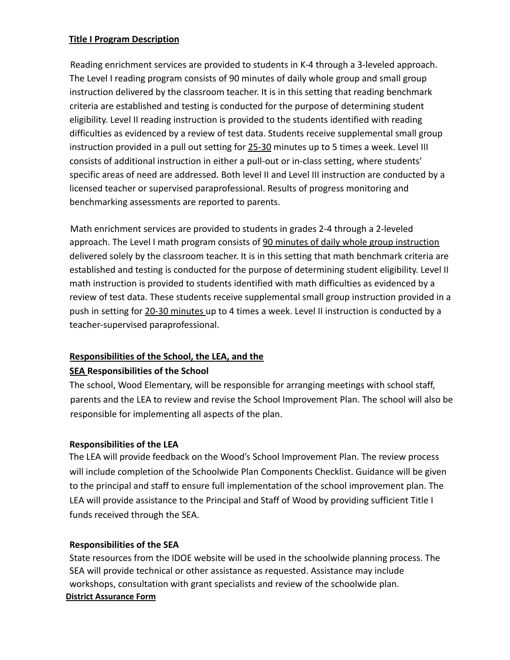#### **Title I Program Description**

Reading enrichment services are provided to students in K-4 through a 3-leveled approach. The Level I reading program consists of 90 minutes of daily whole group and small group instruction delivered by the classroom teacher. It is in this setting that reading benchmark criteria are established and testing is conducted for the purpose of determining student eligibility. Level II reading instruction is provided to the students identified with reading difficulties as evidenced by a review of test data. Students receive supplemental small group instruction provided in a pull out setting for 25-30 minutes up to 5 times a week. Level III consists of additional instruction in either a pull-out or in-class setting, where students' specific areas of need are addressed. Both level II and Level III instruction are conducted by a licensed teacher or supervised paraprofessional. Results of progress monitoring and benchmarking assessments are reported to parents.

Math enrichment services are provided to students in grades 2-4 through a 2-leveled approach. The Level I math program consists of 90 minutes of daily whole group instruction delivered solely by the classroom teacher. It is in this setting that math benchmark criteria are established and testing is conducted for the purpose of determining student eligibility. Level II math instruction is provided to students identified with math difficulties as evidenced by a review of test data. These students receive supplemental small group instruction provided in a push in setting for 20-30 minutes up to 4 times a week. Level II instruction is conducted by a teacher-supervised paraprofessional.

#### **Responsibilities of the School, the LEA, and the**

#### **SEA Responsibilities of the School**

The school, Wood Elementary, will be responsible for arranging meetings with school staff, parents and the LEA to review and revise the School Improvement Plan. The school will also be responsible for implementing all aspects of the plan.

#### **Responsibilities of the LEA**

The LEA will provide feedback on the Wood's School Improvement Plan. The review process will include completion of the Schoolwide Plan Components Checklist. Guidance will be given to the principal and staff to ensure full implementation of the school improvement plan. The LEA will provide assistance to the Principal and Staff of Wood by providing sufficient Title I funds received through the SEA.

#### **Responsibilities of the SEA**

State resources from the IDOE website will be used in the schoolwide planning process. The SEA will provide technical or other assistance as requested. Assistance may include workshops, consultation with grant specialists and review of the schoolwide plan. **District Assurance Form**